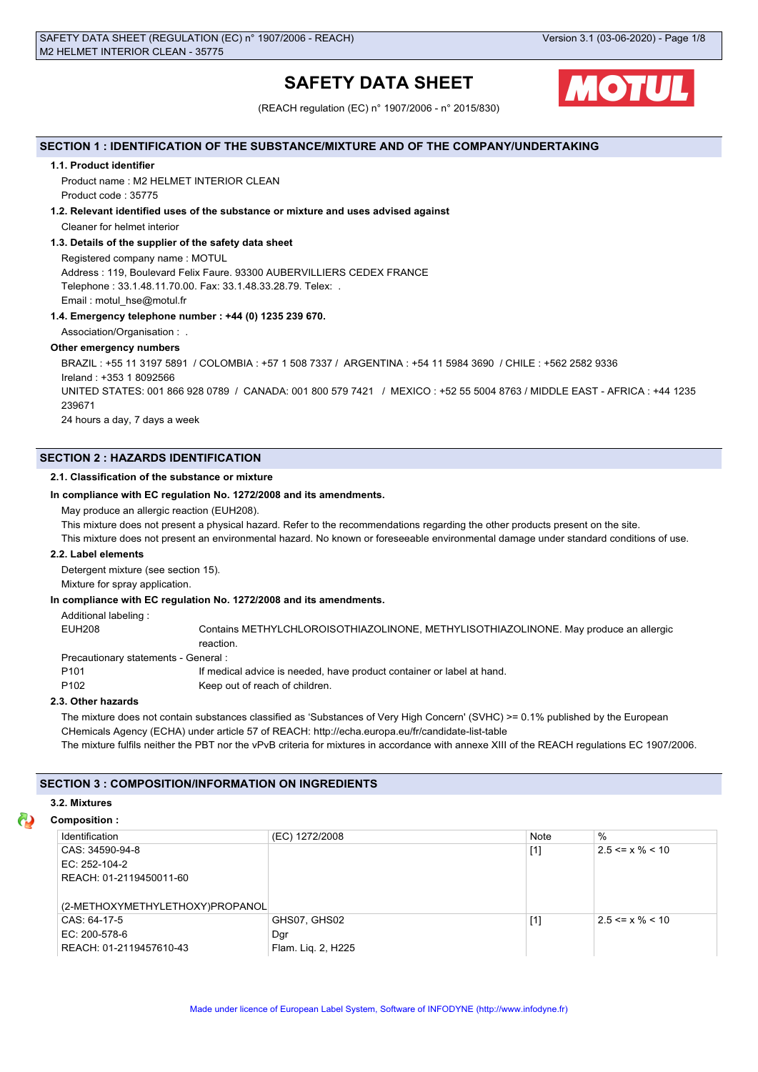# **SAFETY DATA SHEET**



(REACH regulation (EC) n° 1907/2006 - n° 2015/830)

## **SECTION 1 : IDENTIFICATION OF THE SUBSTANCE/MIXTURE AND OF THE COMPANY/UNDERTAKING**

## **1.1. Product identifier**

Product name : M2 HELMET INTERIOR CLEAN Product code : 35775

## **1.2. Relevant identified uses of the substance or mixture and uses advised against**

Cleaner for helmet interior

## **1.3. Details of the supplier of the safety data sheet**

Registered company name : MOTUL Address : 119, Boulevard Felix Faure. 93300 AUBERVILLIERS CEDEX FRANCE Telephone : 33.1.48.11.70.00. Fax: 33.1.48.33.28.79. Telex: . Email : motul\_hse@motul.fr

## **1.4. Emergency telephone number : +44 (0) 1235 239 670.**

Association/Organisation : .

## **Other emergency numbers**

BRAZIL : +55 11 3197 5891 / COLOMBIA : +57 1 508 7337 / ARGENTINA : +54 11 5984 3690 / CHILE : +562 2582 9336 Ireland : +353 1 8092566 UNITED STATES: 001 866 928 0789 / CANADA: 001 800 579 7421 / MEXICO : +52 55 5004 8763 / MIDDLE EAST - AFRICA : +44 1235 239671 24 hours a day, 7 days a week

## **SECTION 2 : HAZARDS IDENTIFICATION**

## **2.1. Classification of the substance or mixture**

## **In compliance with EC regulation No. 1272/2008 and its amendments.**

May produce an allergic reaction (EUH208).

This mixture does not present a physical hazard. Refer to the recommendations regarding the other products present on the site.

This mixture does not present an environmental hazard. No known or foreseeable environmental damage under standard conditions of use.

## **2.2. Label elements**

Detergent mixture (see section 15).

Mixture for spray application.

## **In compliance with EC regulation No. 1272/2008 and its amendments.**

Additional labeling :

EUH208 Contains METHYLCHLOROISOTHIAZOLINONE, METHYLISOTHIAZOLINONE. May produce an allergic reaction.

Precautionary statements - General :

P101 **If medical advice is needed, have product container or label at hand.** 

P102 Keep out of reach of children.

## **2.3. Other hazards**

The mixture does not contain substances classified as 'Substances of Very High Concern' (SVHC) >= 0.1% published by the European CHemicals Agency (ECHA) under article 57 of REACH: http://echa.europa.eu/fr/candidate-list-table The mixture fulfils neither the PBT nor the vPvB criteria for mixtures in accordance with annexe XIII of the REACH regulations EC 1907/2006.

## **SECTION 3 : COMPOSITION/INFORMATION ON INGREDIENTS**

## **3.2. Mixtures**

## **Composition :**

| Identification                  | (EC) 1272/2008     | Note  | $\%$                  |
|---------------------------------|--------------------|-------|-----------------------|
| CAS: 34590-94-8                 |                    | $[1]$ | $2.5 \le x \% \le 10$ |
| EC: 252-104-2                   |                    |       |                       |
| REACH: 01-2119450011-60         |                    |       |                       |
|                                 |                    |       |                       |
| (2-METHOXYMETHYLETHOXY)PROPANOL |                    |       |                       |
| CAS: 64-17-5                    | GHS07, GHS02       | $[1]$ | $2.5 \le x \% \le 10$ |
| EC: 200-578-6                   | Dgr                |       |                       |
| REACH: 01-2119457610-43         | Flam. Lig. 2, H225 |       |                       |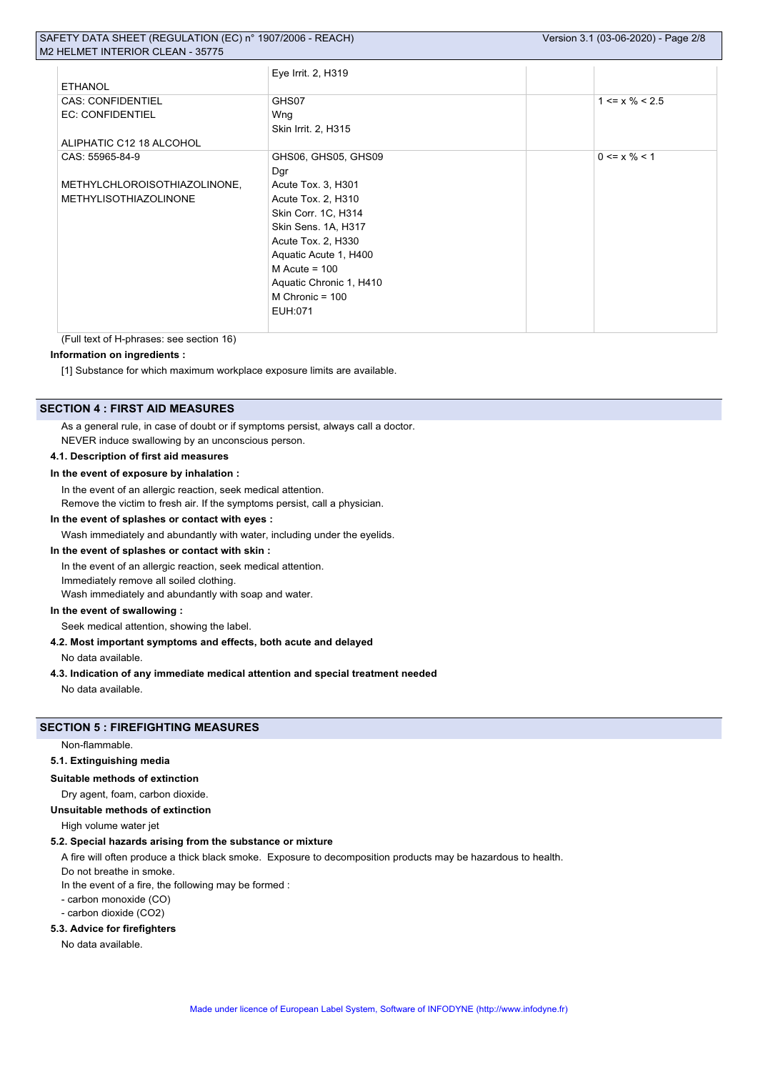|                              | Eye Irrit. 2, H319      |                      |  |
|------------------------------|-------------------------|----------------------|--|
| <b>ETHANOL</b>               |                         |                      |  |
| <b>CAS: CONFIDENTIEL</b>     | GHS07                   | $1 \le x \% \le 2.5$ |  |
| <b>EC: CONFIDENTIEL</b>      | Wng                     |                      |  |
|                              | Skin Irrit. 2, H315     |                      |  |
| ALIPHATIC C12 18 ALCOHOL     |                         |                      |  |
| CAS: 55965-84-9              | GHS06, GHS05, GHS09     | $0 \le x \% \le 1$   |  |
|                              | Dgr                     |                      |  |
| METHYLCHLOROISOTHIAZOLINONE, | Acute Tox. 3, H301      |                      |  |
| <b>METHYLISOTHIAZOLINONE</b> | Acute Tox. 2, H310      |                      |  |
|                              | Skin Corr. 1C, H314     |                      |  |
|                              | Skin Sens. 1A, H317     |                      |  |
|                              | Acute Tox. 2, H330      |                      |  |
|                              | Aquatic Acute 1, H400   |                      |  |
|                              | M Acute = $100$         |                      |  |
|                              | Aquatic Chronic 1, H410 |                      |  |
|                              | M Chronic = $100$       |                      |  |
|                              | EUH:071                 |                      |  |
|                              |                         |                      |  |

(Full text of H-phrases: see section 16)

## **Information on ingredients :**

[1] Substance for which maximum workplace exposure limits are available.

#### **SECTION 4 : FIRST AID MEASURES**

As a general rule, in case of doubt or if symptoms persist, always call a doctor.

NEVER induce swallowing by an unconscious person.

## **4.1. Description of first aid measures**

#### **In the event of exposure by inhalation :**

In the event of an allergic reaction, seek medical attention.

Remove the victim to fresh air. If the symptoms persist, call a physician.

#### **In the event of splashes or contact with eyes :**

Wash immediately and abundantly with water, including under the eyelids.

#### **In the event of splashes or contact with skin :**

In the event of an allergic reaction, seek medical attention.

Immediately remove all soiled clothing.

Wash immediately and abundantly with soap and water.

## **In the event of swallowing :**

Seek medical attention, showing the label.

#### **4.2. Most important symptoms and effects, both acute and delayed**

No data available.

## **4.3. Indication of any immediate medical attention and special treatment needed**

No data available.

## **SECTION 5 : FIREFIGHTING MEASURES**

Non-flammable.

#### **5.1. Extinguishing media**

## **Suitable methods of extinction**

Dry agent, foam, carbon dioxide.

#### **Unsuitable methods of extinction**

High volume water jet

#### **5.2. Special hazards arising from the substance or mixture**

A fire will often produce a thick black smoke. Exposure to decomposition products may be hazardous to health.

Do not breathe in smoke.

In the event of a fire, the following may be formed :

- carbon monoxide (CO)

- carbon dioxide (CO2)

#### **5.3. Advice for firefighters**

No data available.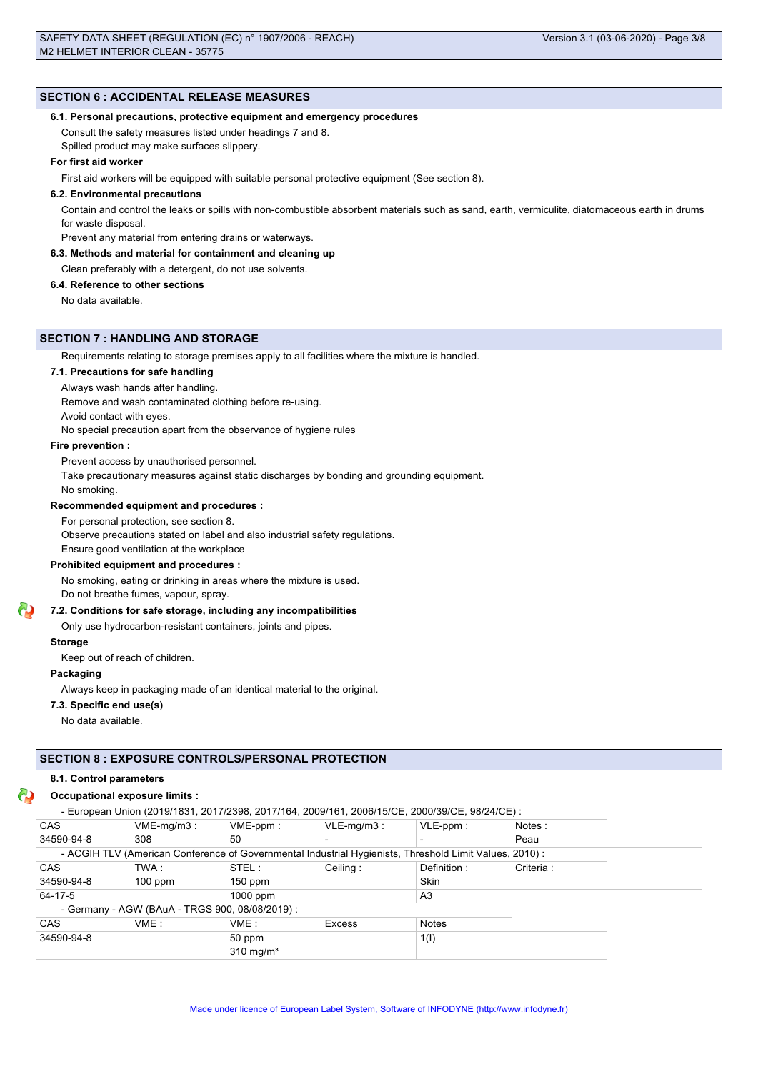#### **SECTION 6 : ACCIDENTAL RELEASE MEASURES**

#### **6.1. Personal precautions, protective equipment and emergency procedures**

Consult the safety measures listed under headings 7 and 8.

Spilled product may make surfaces slippery.

## **For first aid worker**

First aid workers will be equipped with suitable personal protective equipment (See section 8).

#### **6.2. Environmental precautions**

Contain and control the leaks or spills with non-combustible absorbent materials such as sand, earth, vermiculite, diatomaceous earth in drums for waste disposal.

Prevent any material from entering drains or waterways.

#### **6.3. Methods and material for containment and cleaning up**

#### Clean preferably with a detergent, do not use solvents.

#### **6.4. Reference to other sections**

No data available.

#### **SECTION 7 : HANDLING AND STORAGE**

Requirements relating to storage premises apply to all facilities where the mixture is handled.

## **7.1. Precautions for safe handling**

Always wash hands after handling.

Remove and wash contaminated clothing before re-using.

Avoid contact with eyes.

No special precaution apart from the observance of hygiene rules

#### **Fire prevention :**

Prevent access by unauthorised personnel.

Take precautionary measures against static discharges by bonding and grounding equipment.

No smoking.

#### **Recommended equipment and procedures :**

For personal protection, see section 8.

Observe precautions stated on label and also industrial safety regulations.

Ensure good ventilation at the workplace

## **Prohibited equipment and procedures :**

No smoking, eating or drinking in areas where the mixture is used.

Do not breathe fumes, vapour, spray.

## **7.2. Conditions for safe storage, including any incompatibilities**

Only use hydrocarbon-resistant containers, joints and pipes.

#### **Storage**

Keep out of reach of children.

#### **Packaging**

Always keep in packaging made of an identical material to the original.

#### **7.3. Specific end use(s)**

No data available.

#### **SECTION 8 : EXPOSURE CONTROLS/PERSONAL PROTECTION**

#### **8.1. Control parameters**

#### **Occupational exposure limits :**

|            |                                                 | - European Union (2019/1831, 2017/2398, 2017/164, 2009/161, 2006/15/CE, 2000/39/CE, 98/24/CE):         |               |              |            |  |
|------------|-------------------------------------------------|--------------------------------------------------------------------------------------------------------|---------------|--------------|------------|--|
| <b>CAS</b> | $VME-mg/m3$ :                                   | $VME-ppm$ :                                                                                            | $VLE-mq/m3$ : | $VLE-ppm$ :  | Notes:     |  |
| 34590-94-8 | 308                                             | 50                                                                                                     |               |              | Peau       |  |
|            |                                                 | - ACGIH TLV (American Conference of Governmental Industrial Hygienists, Threshold Limit Values, 2010): |               |              |            |  |
| <b>CAS</b> | TWA :                                           | STEL:                                                                                                  | Ceiling:      | Definition:  | Criteria : |  |
| 34590-94-8 | $100$ ppm                                       | $150$ ppm                                                                                              |               | <b>Skin</b>  |            |  |
| 64-17-5    |                                                 | $1000$ ppm                                                                                             |               | A3           |            |  |
|            | - Germany - AGW (BAuA - TRGS 900, 08/08/2019) : |                                                                                                        |               |              |            |  |
| <b>CAS</b> | VME:                                            | VME:                                                                                                   | <b>Excess</b> | <b>Notes</b> |            |  |
| 34590-94-8 |                                                 | 50 ppm                                                                                                 |               | 1(1)         |            |  |
|            |                                                 | $310 \text{ mg/m}^3$                                                                                   |               |              |            |  |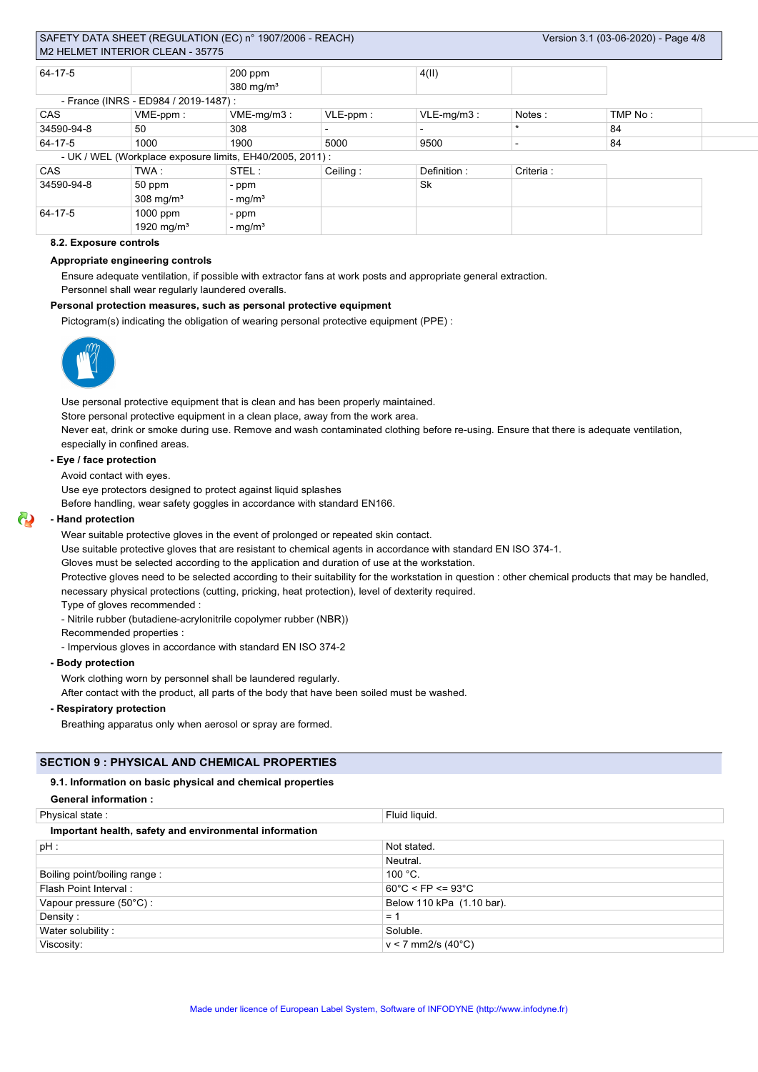| 64-17-5    |                                       | $200$ ppm                                                 |          | 4(II)                    |            |         |  |
|------------|---------------------------------------|-----------------------------------------------------------|----------|--------------------------|------------|---------|--|
|            |                                       | $380 \text{ mg/m}^3$                                      |          |                          |            |         |  |
|            | - France (INRS - ED984 / 2019-1487) : |                                                           |          |                          |            |         |  |
| CAS        | VME-ppm:                              | $VME-mg/m3$ :                                             | VLE-ppm: | $VLE-mg/m3$ :            | Notes:     | TMP No: |  |
| 34590-94-8 | 50                                    | 308                                                       |          | $\overline{\phantom{0}}$ | $\star$    | 84      |  |
| 64-17-5    | 1000                                  | 1900                                                      | 5000     | 9500                     |            | 84      |  |
|            |                                       | - UK / WEL (Workplace exposure limits, EH40/2005, 2011) : |          |                          |            |         |  |
| <b>CAS</b> | TWA :                                 | STEL:                                                     | Ceiling: | Definition:              | Criteria : |         |  |
| 34590-94-8 | 50 ppm                                | - ppm                                                     |          | Sk                       |            |         |  |
|            | $308 \text{ mg/m}^3$                  | - $mg/m3$                                                 |          |                          |            |         |  |
| 64-17-5    | 1000 ppm                              | - ppm                                                     |          |                          |            |         |  |
|            | 1920 mg/m <sup>3</sup>                | - $mg/m3$                                                 |          |                          |            |         |  |

## **8.2. Exposure controls**

#### **Appropriate engineering controls**

Ensure adequate ventilation, if possible with extractor fans at work posts and appropriate general extraction.

Personnel shall wear regularly laundered overalls.

## **Personal protection measures, such as personal protective equipment**

Pictogram(s) indicating the obligation of wearing personal protective equipment (PPE) :



Use personal protective equipment that is clean and has been properly maintained.

Store personal protective equipment in a clean place, away from the work area.

Never eat, drink or smoke during use. Remove and wash contaminated clothing before re-using. Ensure that there is adequate ventilation, especially in confined areas.

#### **- Eye / face protection**

Avoid contact with eyes.

Use eye protectors designed to protect against liquid splashes

Before handling, wear safety goggles in accordance with standard EN166.

#### **- Hand protection**

Wear suitable protective gloves in the event of prolonged or repeated skin contact.

Use suitable protective gloves that are resistant to chemical agents in accordance with standard EN ISO 374-1.

Gloves must be selected according to the application and duration of use at the workstation.

Protective gloves need to be selected according to their suitability for the workstation in question : other chemical products that may be handled, necessary physical protections (cutting, pricking, heat protection), level of dexterity required.

Type of gloves recommended :

- Nitrile rubber (butadiene-acrylonitrile copolymer rubber (NBR))

Recommended properties :

- Impervious gloves in accordance with standard EN ISO 374-2

#### **- Body protection**

Work clothing worn by personnel shall be laundered regularly.

After contact with the product, all parts of the body that have been soiled must be washed.

#### **- Respiratory protection**

Breathing apparatus only when aerosol or spray are formed.

## **SECTION 9 : PHYSICAL AND CHEMICAL PROPERTIES**

#### **9.1. Information on basic physical and chemical properties**

| <b>General information:</b> |  |
|-----------------------------|--|
|                             |  |

| Physical state:                                        | Fluid liquid.                          |  |
|--------------------------------------------------------|----------------------------------------|--|
| Important health, safety and environmental information |                                        |  |
| $pH$ :                                                 | Not stated.                            |  |
|                                                        | Neutral.                               |  |
| Boiling point/boiling range:                           | 100 °C.                                |  |
| Flash Point Interval:                                  | $60^{\circ}$ C < FP <= 93 $^{\circ}$ C |  |
| Vapour pressure (50°C) :                               | Below 110 kPa (1.10 bar).              |  |
| Density:                                               | $= 1$                                  |  |
| Water solubility:                                      | Soluble.                               |  |
| Viscosity:                                             | $v < 7$ mm2/s (40 $^{\circ}$ C)        |  |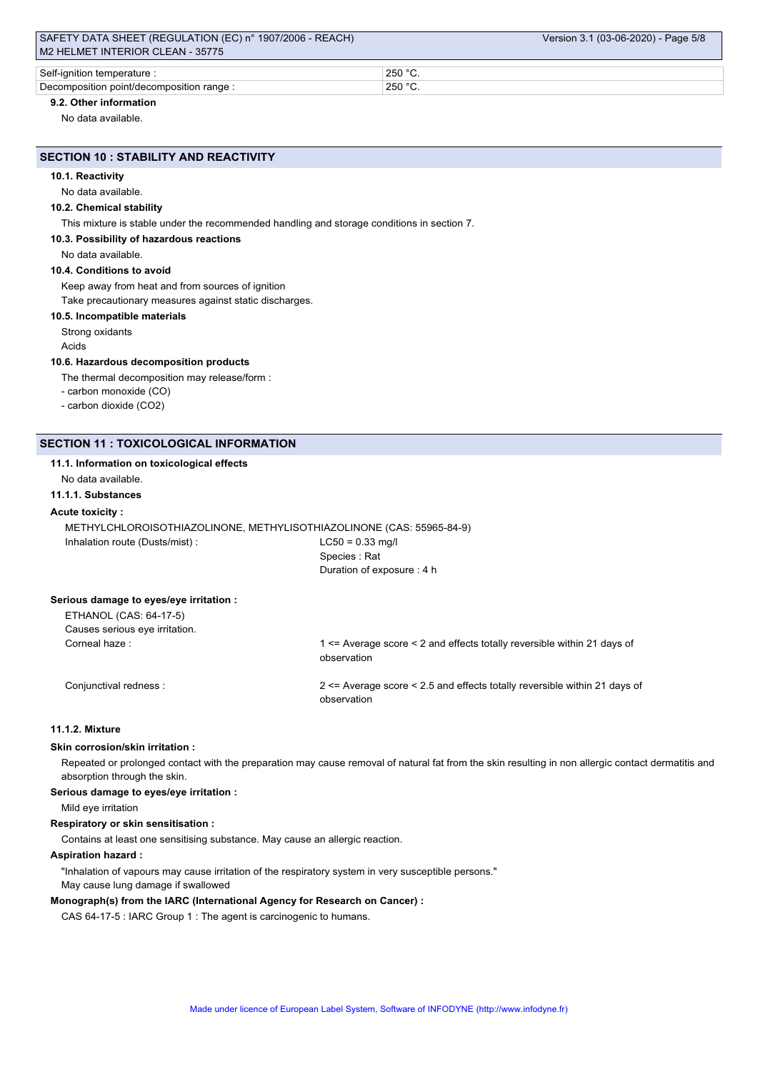| Self-ianition<br>erature<br>tempe                    | 250<br>ີ      |
|------------------------------------------------------|---------------|
| ∽<br>Decomposition point/decompo<br>range<br>osifion | 250<br>ິ<br>ີ |

## **9.2. Other information**

No data available.

## **SECTION 10 : STABILITY AND REACTIVITY**

#### **10.1. Reactivity**

No data available.

#### **10.2. Chemical stability**

This mixture is stable under the recommended handling and storage conditions in section 7.

## **10.3. Possibility of hazardous reactions**

No data available.

#### **10.4. Conditions to avoid**

Keep away from heat and from sources of ignition

Take precautionary measures against static discharges.

#### **10.5. Incompatible materials**

Strong oxidants

Acids

#### **10.6. Hazardous decomposition products**

The thermal decomposition may release/form :

- carbon monoxide (CO)

- carbon dioxide (CO2)

## **SECTION 11 : TOXICOLOGICAL INFORMATION**

#### **11.1. Information on toxicological effects**

No data available.

**11.1.1. Substances**

#### **Acute toxicity :**

METHYLCHLOROISOTHIAZOLINONE, METHYLISOTHIAZOLINONE (CAS: 55965-84-9) Inhalation route (Dusts/mist) : LC50 = 0.33 mg/l

Species : Rat Duration of exposure : 4 h

#### **Serious damage to eyes/eye irritation :**

| ETHANOL (CAS: 64-17-5)<br>Causes serious eye irritation. |                                                                                        |
|----------------------------------------------------------|----------------------------------------------------------------------------------------|
| Corneal haze:                                            | 1 <= Average score < 2 and effects totally reversible within 21 days of<br>observation |
| Conjunctival redness :                                   | $2 \leq$ Average score $\leq$ 2.5 and effects totally reversible within 21 days of     |

observation

## **11.1.2. Mixture**

#### **Skin corrosion/skin irritation :**

Repeated or prolonged contact with the preparation may cause removal of natural fat from the skin resulting in non allergic contact dermatitis and absorption through the skin.

#### **Serious damage to eyes/eye irritation :**

Mild eye irritation

#### **Respiratory or skin sensitisation :**

Contains at least one sensitising substance. May cause an allergic reaction.

### **Aspiration hazard :**

"Inhalation of vapours may cause irritation of the respiratory system in very susceptible persons." May cause lung damage if swallowed

#### **Monograph(s) from the IARC (International Agency for Research on Cancer) :**

CAS 64-17-5 : IARC Group 1 : The agent is carcinogenic to humans.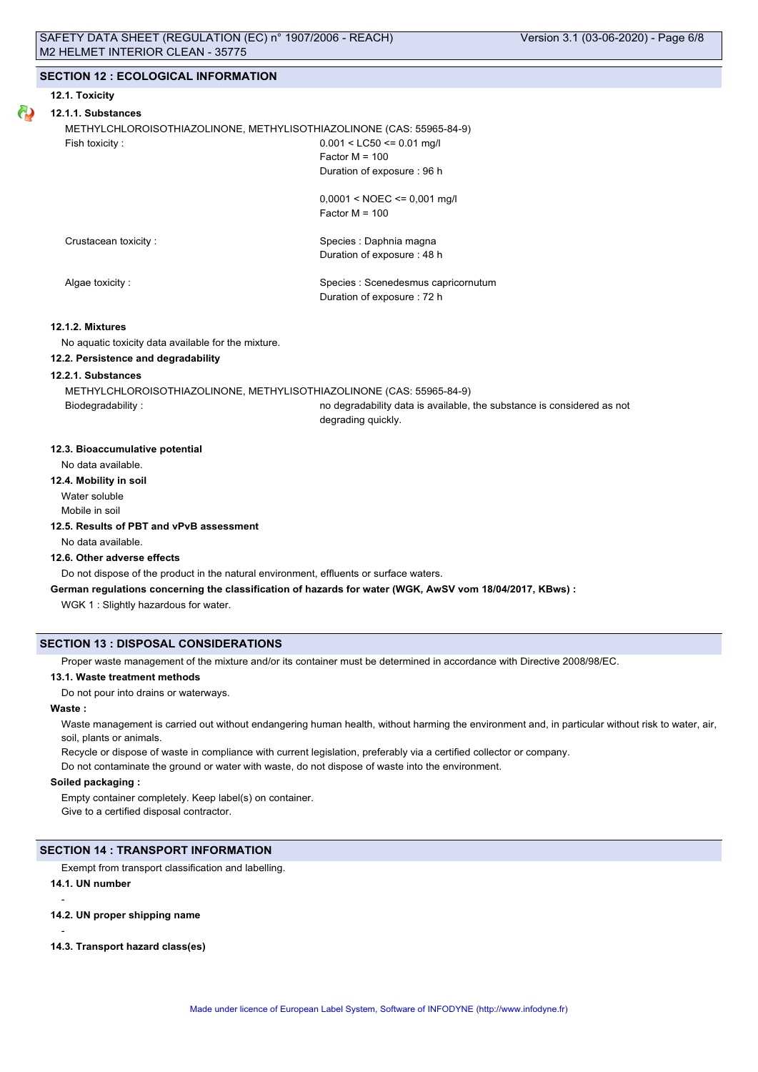#### **12.1. Toxicity**

## **12.1.1. Substances**

METHYLCHLOROISOTHIAZOLINONE, METHYLISOTHIAZOLINONE (CAS: 55965-84-9) Fish toxicity : 0.001 < LC50 <= 0.01 mg/l

 $Factor M = 100$ Duration of exposure : 96 h

 $0,0001 <$  NOEC  $\leq 0,001$  mg/l Factor M = 100

Crustacean toxicity : Species : Daphnia magna Duration of exposure : 48 h

Algae toxicity : Species : Scenedesmus capricornutum Duration of exposure : 72 h

#### **12.1.2. Mixtures**

No aquatic toxicity data available for the mixture.

### **12.2. Persistence and degradability**

## **12.2.1. Substances**

METHYLCHLOROISOTHIAZOLINONE, METHYLISOTHIAZOLINONE (CAS: 55965-84-9)

Biodegradability : no degradability data is available, the substance is considered as not degrading quickly.

#### **12.3. Bioaccumulative potential**

No data available.

**12.4. Mobility in soil** Water soluble

Mobile in soil

## **12.5. Results of PBT and vPvB assessment**

No data available.

#### **12.6. Other adverse effects**

Do not dispose of the product in the natural environment, effluents or surface waters.

## **German regulations concerning the classification of hazards for water (WGK, AwSV vom 18/04/2017, KBws) :**

WGK 1 : Slightly hazardous for water.

## **SECTION 13 : DISPOSAL CONSIDERATIONS**

Proper waste management of the mixture and/or its container must be determined in accordance with Directive 2008/98/EC.

#### **13.1. Waste treatment methods**

Do not pour into drains or waterways.

#### **Waste :**

Waste management is carried out without endangering human health, without harming the environment and, in particular without risk to water, air, soil, plants or animals.

Recycle or dispose of waste in compliance with current legislation, preferably via a certified collector or company.

Do not contaminate the ground or water with waste, do not dispose of waste into the environment.

#### **Soiled packaging :**

Empty container completely. Keep label(s) on container. Give to a certified disposal contractor.

#### **SECTION 14 : TRANSPORT INFORMATION**

Exempt from transport classification and labelling.

#### **14.1. UN number**

-

-

- **14.2. UN proper shipping name**
- **14.3. Transport hazard class(es)**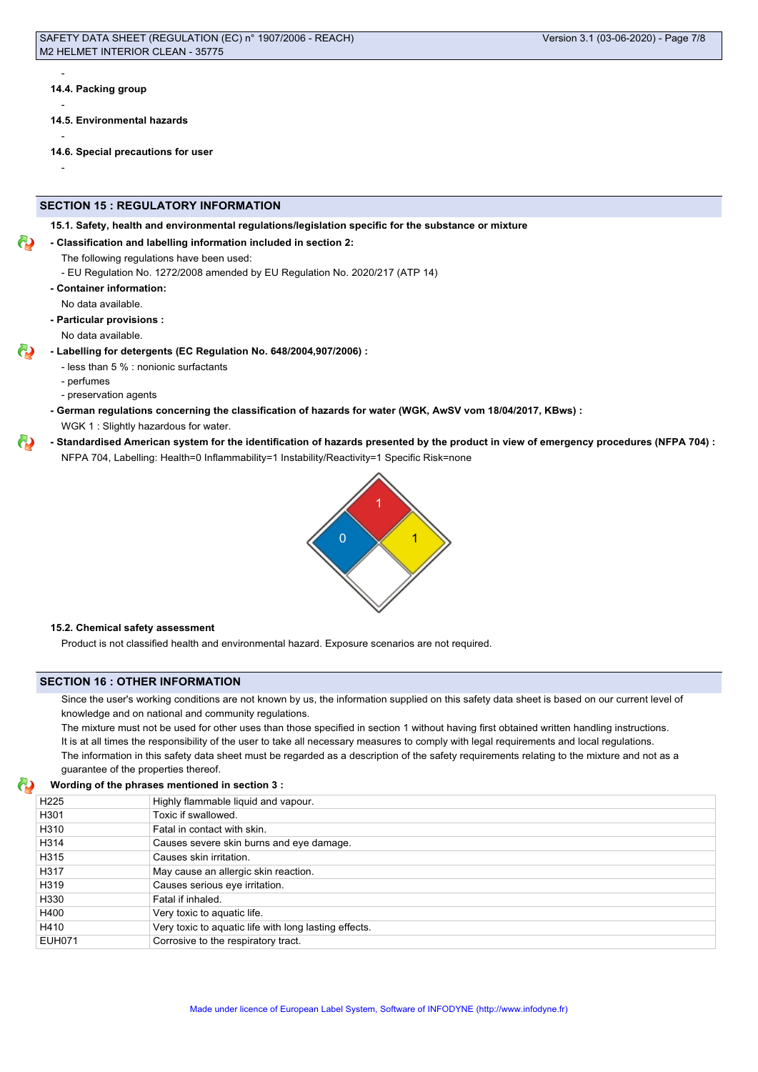**14.4. Packing group**

-

-

-

-

- **14.5. Environmental hazards**
- **14.6. Special precautions for user**

## **SECTION 15 : REGULATORY INFORMATION**

**15.1. Safety, health and environmental regulations/legislation specific for the substance or mixture**

#### **- Classification and labelling information included in section 2:**

The following regulations have been used:

- EU Regulation No. 1272/2008 amended by EU Regulation No. 2020/217 (ATP 14)

**- Container information:**

No data available.

**- Particular provisions :**

No data available.

- **Labelling for detergents (EC Regulation No. 648/2004,907/2006) :**
	- less than 5 % : nonionic surfactants
	- perfumes
	- preservation agents
	- **German regulations concerning the classification of hazards for water (WGK, AwSV vom 18/04/2017, KBws) :**

WGK 1 : Slightly hazardous for water.

## **- Standardised American system for the identification of hazards presented by the product in view of emergency procedures (NFPA 704) :**

NFPA 704, Labelling: Health=0 Inflammability=1 Instability/Reactivity=1 Specific Risk=none



#### **15.2. Chemical safety assessment**

Product is not classified health and environmental hazard. Exposure scenarios are not required.

#### **SECTION 16 : OTHER INFORMATION**

Since the user's working conditions are not known by us, the information supplied on this safety data sheet is based on our current level of knowledge and on national and community regulations.

The mixture must not be used for other uses than those specified in section 1 without having first obtained written handling instructions. It is at all times the responsibility of the user to take all necessary measures to comply with legal requirements and local regulations. The information in this safety data sheet must be regarded as a description of the safety requirements relating to the mixture and not as a guarantee of the properties thereof.

|                  | Wording of the phrases mentioned in section 3 :       |  |
|------------------|-------------------------------------------------------|--|
| H <sub>225</sub> | Highly flammable liquid and vapour.                   |  |
| H301             | Toxic if swallowed.                                   |  |
| H310             | Fatal in contact with skin.                           |  |
| H314             | Causes severe skin burns and eye damage.              |  |
| H315             | Causes skin irritation.                               |  |
| H317             | May cause an allergic skin reaction.                  |  |
| H319             | Causes serious eye irritation.                        |  |
| H330             | Fatal if inhaled.                                     |  |
| H400             | Very toxic to aquatic life.                           |  |
| H410             | Very toxic to aquatic life with long lasting effects. |  |
| EUH071           | Corrosive to the respiratory tract.                   |  |